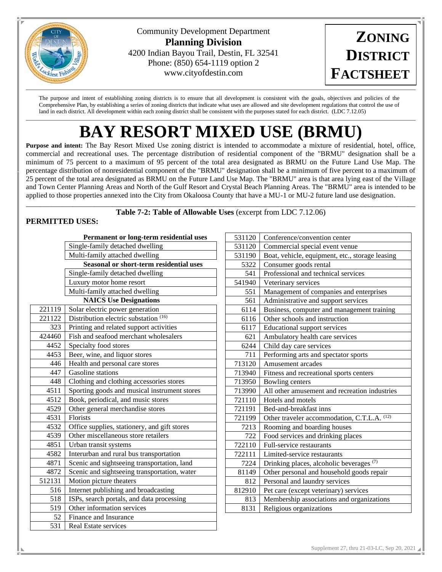

Community Development Department **Planning Division** 4200 Indian Bayou Trail, Destin, FL 32541 Phone: (850) 654-1119 option 2 www.cityofdestin.com



The purpose and intent of establishing zoning districts is to ensure that all development is consistent with the goals, objectives and policies of the Comprehensive Plan, by establishing a series of zoning districts that indicate what uses are allowed and site development regulations that control the use of land in each district. All development within each zoning district shall be consistent with the purposes stated for each district. (LDC 7.12.05)  $\Box \rightarrow \Box \rightarrow \Box \rightarrow \Box$ 

# **BAY RESORT MIXED USE (BRMU)**

**Purpose and intent:** The Bay Resort Mixed Use zoning district is intended to accommodate a mixture of residential, hotel, office, commercial and recreational uses. The percentage distribution of residential component of the "BRMU" designation shall be a minimum of 75 percent to a maximum of 95 percent of the total area designated as BRMU on the Future Land Use Map. The percentage distribution of nonresidential component of the "BRMU" designation shall be a minimum of five percent to a maximum of 25 percent of the total area designated as BRMU on the Future Land Use Map. The "BRMU" area is that area lying east of the Village and Town Center Planning Areas and North of the Gulf Resort and Crystal Beach Planning Areas. The "BRMU" area is intended to be applied to those properties annexed into the City from Okaloosa County that have a MU-1 or MU-2 future land use designation.

\_\_\_\_\_\_\_\_\_\_\_\_\_\_\_\_\_\_\_\_\_\_\_\_\_\_\_\_\_\_\_\_\_\_\_\_\_\_\_\_\_\_\_\_\_\_\_\_\_\_\_\_\_\_\_\_\_\_\_\_\_\_\_\_\_\_\_\_\_\_\_\_\_\_\_\_\_\_\_\_\_\_\_\_\_\_\_\_\_\_\_\_\_\_\_\_\_\_\_\_\_\_\_\_\_\_\_\_ **Table 7-2: Table of Allowable Uses** (excerpt from LDC 7.12.06)

## **PERMITTED USES:**

| Permanent or long-term residential uses        |                                              |  |  |  |  |
|------------------------------------------------|----------------------------------------------|--|--|--|--|
|                                                | Single-family detached dwelling              |  |  |  |  |
| Multi-family attached dwelling                 |                                              |  |  |  |  |
| <b>Seasonal or short-term residential uses</b> |                                              |  |  |  |  |
|                                                | Single-family detached dwelling              |  |  |  |  |
|                                                | Luxury motor home resort                     |  |  |  |  |
|                                                | Multi-family attached dwelling               |  |  |  |  |
| <b>NAICS Use Designations</b>                  |                                              |  |  |  |  |
| 221119                                         | Solar electric power generation              |  |  |  |  |
| 221122                                         | Distribution electric substation (16)        |  |  |  |  |
| 323                                            | Printing and related support activities      |  |  |  |  |
| 424460                                         | Fish and seafood merchant wholesalers        |  |  |  |  |
| 4452                                           | Specialty food stores                        |  |  |  |  |
| 4453                                           | Beer, wine, and liquor stores                |  |  |  |  |
| 446                                            | Health and personal care stores              |  |  |  |  |
| 447                                            | Gasoline stations                            |  |  |  |  |
| 448                                            | Clothing and clothing accessories stores     |  |  |  |  |
| 4511                                           | Sporting goods and musical instrument stores |  |  |  |  |
| 4512                                           | Book, periodical, and music stores           |  |  |  |  |
| 4529                                           | Other general merchandise stores             |  |  |  |  |
| 4531                                           | Florists                                     |  |  |  |  |
| 4532                                           | Office supplies, stationery, and gift stores |  |  |  |  |
| 4539                                           | Other miscellaneous store retailers          |  |  |  |  |
| 4851                                           | Urban transit systems                        |  |  |  |  |
| 4582                                           | Interurban and rural bus transportation      |  |  |  |  |
| 4871                                           | Scenic and sightseeing transportation, land  |  |  |  |  |
| 4872                                           | Scenic and sightseeing transportation, water |  |  |  |  |
| 512131                                         | Motion picture theaters                      |  |  |  |  |
| 516                                            | Internet publishing and broadcasting         |  |  |  |  |
| 518                                            | ISPs, search portals, and data processing    |  |  |  |  |
| 519                                            | Other information services                   |  |  |  |  |
| 52                                             | Finance and Insurance                        |  |  |  |  |
| 531                                            | Real Estate services                         |  |  |  |  |

| 531120 | Conference/convention center                        |  |  |  |
|--------|-----------------------------------------------------|--|--|--|
| 531120 | Commercial special event venue                      |  |  |  |
| 531190 | Boat, vehicle, equipment, etc., storage leasing     |  |  |  |
| 5322   | Consumer goods rental                               |  |  |  |
| 541    | Professional and technical services                 |  |  |  |
| 541940 | Veterinary services                                 |  |  |  |
| 551    | Management of companies and enterprises             |  |  |  |
| 561    | Administrative and support services                 |  |  |  |
| 6114   | Business, computer and management training          |  |  |  |
| 6116   | Other schools and instruction                       |  |  |  |
| 6117   | <b>Educational support services</b>                 |  |  |  |
| 621    | Ambulatory health care services                     |  |  |  |
| 6244   | Child day care services                             |  |  |  |
| 711    | Performing arts and spectator sports                |  |  |  |
| 713120 | Amusement arcades                                   |  |  |  |
| 713940 | Fitness and recreational sports centers             |  |  |  |
| 713950 | Bowling centers                                     |  |  |  |
| 713990 | All other amusement and recreation industries       |  |  |  |
| 721110 | Hotels and motels                                   |  |  |  |
| 721191 | Bed-and-breakfast inns                              |  |  |  |
| 721199 | Other traveler accommodation, C.T.L.A. (12)         |  |  |  |
| 7213   | Rooming and boarding houses                         |  |  |  |
| 722    | Food services and drinking places                   |  |  |  |
| 722110 | Full-service restaurants                            |  |  |  |
| 722111 | Limited-service restaurants                         |  |  |  |
| 7224   | Drinking places, alcoholic beverages <sup>(7)</sup> |  |  |  |
| 81149  | Other personal and household goods repair           |  |  |  |
| 812    | Personal and laundry services                       |  |  |  |
| 812910 | Pet care (except veterinary) services               |  |  |  |
| 813    | Membership associations and organizations           |  |  |  |
| 8131   | Religious organizations                             |  |  |  |